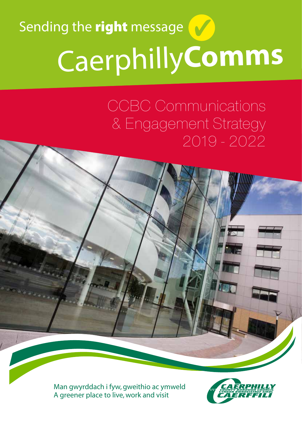# Caerphilly**Comms** Sending the right message

CCBC Communications & Engagement Strategy 2019 - 2022

Man gwyrddach i fyw, gweithio ac ymweld A greener place to live, work and visit

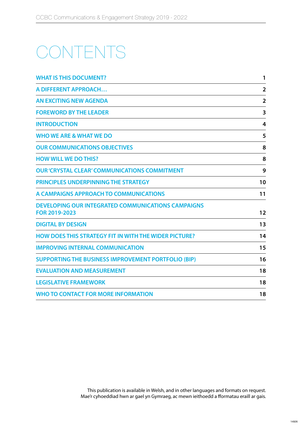### CONTENTS

| <b>WHAT IS THIS DOCUMENT?</b>                                              | 1                       |
|----------------------------------------------------------------------------|-------------------------|
| <b>A DIFFERENT APPROACH</b>                                                | $\overline{\mathbf{2}}$ |
| <b>AN EXCITING NEW AGENDA</b>                                              | $\overline{2}$          |
| <b>FOREWORD BY THE LEADER</b>                                              | 3                       |
| <b>INTRODUCTION</b>                                                        | 4                       |
| <b>WHO WE ARE &amp; WHAT WE DO</b>                                         | 5                       |
| <b>OUR COMMUNICATIONS OBJECTIVES</b>                                       | 8                       |
| <b>HOW WILL WE DO THIS?</b>                                                | 8                       |
| <b>OUR 'CRYSTAL CLEAR' COMMUNICATIONS COMMITMENT</b>                       | 9                       |
| PRINCIPLES UNDERPINNING THE STRATEGY                                       | 10                      |
| A CAMPAIGNS APPROACH TO COMMUNICATIONS                                     | 11                      |
| <b>DEVELOPING OUR INTEGRATED COMMUNICATIONS CAMPAIGNS</b><br>FOR 2019-2023 | 12                      |
| <b>DIGITAL BY DESIGN</b>                                                   | 13                      |
| <b>HOW DOES THIS STRATEGY FIT IN WITH THE WIDER PICTURE?</b>               | 14                      |
| <b>IMPROVING INTERNAL COMMUNICATION</b>                                    | 15                      |
| <b>SUPPORTING THE BUSINESS IMPROVEMENT PORTFOLIO (BIP)</b>                 | 16                      |
| <b>EVALUATION AND MEASUREMENT</b>                                          | 18                      |
| <b>LEGISLATIVE FRAMEWORK</b>                                               | 18                      |
| <b>WHO TO CONTACT FOR MORE INFORMATION</b>                                 | 18                      |

This publication is available in Welsh, and in other languages and formats on request. Mae'r cyhoeddiad hwn ar gael yn Gymraeg, ac mewn ieithoedd a fformatau eraill ar gais.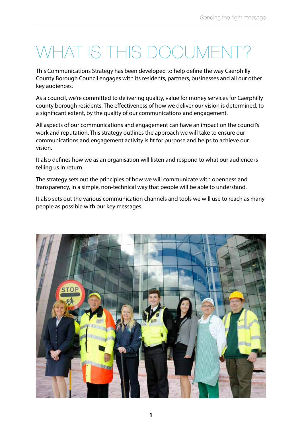### WHAT IS THIS DOCUMENT?

This Communications Strategy has been developed to help define the way Caerphilly County Borough Council engages with its residents, partners, businesses and all our other key audiences.

As a council, we're committed to delivering quality, value for money services for Caerphilly county borough residents. The effectiveness of how we deliver our vision is determined, to a significant extent, by the quality of our communications and engagement.

All aspects of our communications and engagement can have an impact on the council's work and reputation. This strategy outlines the approach we will take to ensure our communications and engagement activity is fit for purpose and helps to achieve our vision.

It also defines how we as an organisation will listen and respond to what our audience is telling us in return.

The strategy sets out the principles of how we will communicate with openness and transparency, in a simple, non-technical way that people will be able to understand.

It also sets out the various communication channels and tools we will use to reach as many people as possible with our key messages.

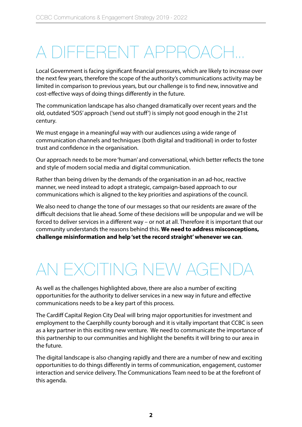### A DIFFERENT APPROACH…

Local Government is facing significant financial pressures, which are likely to increase over the next few years, therefore the scope of the authority's communications activity may be limited in comparison to previous years, but our challenge is to find new, innovative and cost-effective ways of doing things differently in the future.

The communication landscape has also changed dramatically over recent years and the old, outdated 'SOS' approach ('send out stuff') is simply not good enough in the 21st century.

We must engage in a meaningful way with our audiences using a wide range of communication channels and techniques (both digital and traditional) in order to foster trust and confidence in the organisation.

Our approach needs to be more 'human' and conversational, which better reflects the tone and style of modern social media and digital communication.

Rather than being driven by the demands of the organisation in an ad-hoc, reactive manner, we need instead to adopt a strategic, campaign-based approach to our communications which is aligned to the key priorities and aspirations of the council.

We also need to change the tone of our messages so that our residents are aware of the difficult decisions that lie ahead. Some of these decisions will be unpopular and we will be forced to deliver services in a different way – or not at all. Therefore it is important that our community understands the reasons behind this. **We need to address misconceptions, challenge misinformation and help 'set the record straight' whenever we can**.

### AN FXCITING NEW AGE

As well as the challenges highlighted above, there are also a number of exciting opportunities for the authority to deliver services in a new way in future and effective communications needs to be a key part of this process.

The Cardiff Capital Region City Deal will bring major opportunities for investment and employment to the Caerphilly county borough and it is vitally important that CCBC is seen as a key partner in this exciting new venture. We need to communicate the importance of this partnership to our communities and highlight the benefits it will bring to our area in the future.

The digital landscape is also changing rapidly and there are a number of new and exciting opportunities to do things differently in terms of communication, engagement, customer interaction and service delivery. The Communications Team need to be at the forefront of this agenda.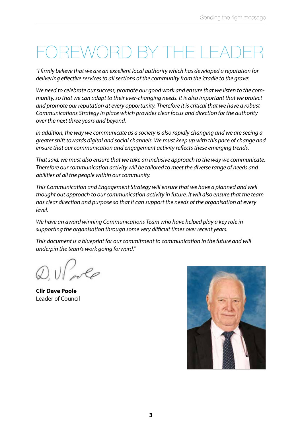### ORD BY THE L

*"I firmly believe that we are an excellent local authority which has developed a reputation for delivering effective services to all sections of the community from the 'cradle to the grave'.*

*We need to celebrate our success, promote our good work and ensure that we listen to the community, so that we can adapt to their ever-changing needs. It is also important that we protect and promote our reputation at every opportunity. Therefore it is critical that we have a robust Communications Strategy in place which provides clear focus and direction for the authority over the next three years and beyond.*

*In addition, the way we communicate as a society is also rapidly changing and we are seeing a greater shift towards digital and social channels. We must keep up with this pace of change and ensure that our communication and engagement activity reflects these emerging trends.* 

*That said, we must also ensure that we take an inclusive approach to the way we communicate. Therefore our communication activity will be tailored to meet the diverse range of needs and abilities of all the people within our community.*

*This Communication and Engagement Strategy will ensure that we have a planned and well thought out approach to our communication activity in future. It will also ensure that the team has clear direction and purpose so that it can support the needs of the organisation at every level.*

*We have an award winning Communications Team who have helped play a key role in supporting the organisation through some very difficult times over recent years.*

*This document is a blueprint for our commitment to communication in the future and will underpin the team's work going forward."*

**Cllr Dave Poole** Leader of Council

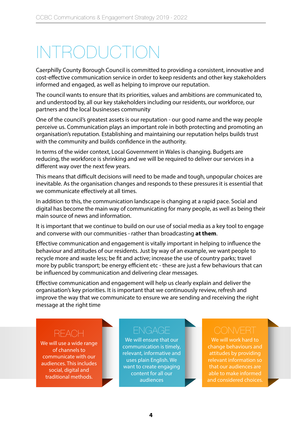## INTRODUCTION

Caerphilly County Borough Council is committed to providing a consistent, innovative and cost-effective communication service in order to keep residents and other key stakeholders informed and engaged, as well as helping to improve our reputation.

The council wants to ensure that its priorities, values and ambitions are communicated to, and understood by, all our key stakeholders including our residents, our workforce, our partners and the local businesses community

One of the council's greatest assets is our reputation - our good name and the way people perceive us. Communication plays an important role in both protecting and promoting an organisation's reputation. Establishing and maintaining our reputation helps builds trust with the community and builds confidence in the authority.

In terms of the wider context, Local Government in Wales is changing. Budgets are reducing, the workforce is shrinking and we will be required to deliver our services in a different way over the next few years.

This means that difficult decisions will need to be made and tough, unpopular choices are inevitable. As the organisation changes and responds to these pressures it is essential that we communicate effectively at all times.

In addition to this, the communication landscape is changing at a rapid pace. Social and digital has become the main way of communicating for many people, as well as being their main source of news and information.

It is important that we continue to build on our use of social media as a key tool to engage and converse with our communities - rather than broadcasting **at them**.

Effective communication and engagement is vitally important in helping to influence the behaviour and attitudes of our residents. Just by way of an example, we want people to recycle more and waste less; be fit and active; increase the use of country parks; travel more by public transport; be energy efficient etc - these are just a few behaviours that can be influenced by communication and delivering clear messages.

Effective communication and engagement will help us clearly explain and deliver the organisation's key priorities. It is important that we continuously review, refresh and improve the way that we communicate to ensure we are sending and receiving the right message at the right time

### **REACH**

We will use a wide range of channels to communicate with our audiences. This includes social, digital and traditional methods.

We will ensure that our communication is timely, relevant, informative and uses plain English. We want to create engaging content for all our audiences

We will work hard to change behaviours and attitudes by providing relevant information so that our audiences are able to make informed and considered choices.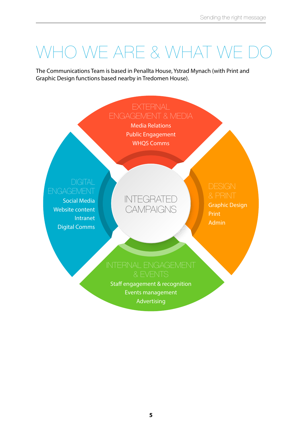### WHO WE ARE & WHAT WE DO

The Communications Team is based in Penallta House, Ystrad Mynach (with Print and Graphic Design functions based nearby in Tredomen House).

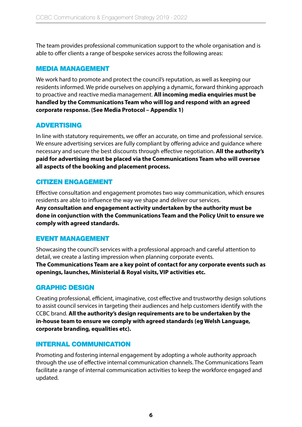The team provides professional communication support to the whole organisation and is able to offer clients a range of bespoke services across the following areas:

#### MEDIA MANAGEMENT

We work hard to promote and protect the council's reputation, as well as keeping our residents informed. We pride ourselves on applying a dynamic, forward thinking approach to proactive and reactive media management. **All incoming media enquiries must be handled by the Communications Team who will log and respond with an agreed corporate response. (See Media Protocol – Appendix 1)**

### ADVERTISING

In line with statutory requirements, we offer an accurate, on time and professional service. We ensure advertising services are fully compliant by offering advice and guidance where necessary and secure the best discounts through effective negotiation. **All the authority's paid for advertising must be placed via the Communications Team who will oversee all aspects of the booking and placement process.**

#### CITIZEN ENGAGEMENT

Effective consultation and engagement promotes two way communication, which ensures residents are able to influence the way we shape and deliver our services.

**Any consultation and engagement activity undertaken by the authority must be done in conjunction with the Communications Team and the Policy Unit to ensure we comply with agreed standards.**

### EVENT MANAGEMENT

Showcasing the council's services with a professional approach and careful attention to detail, we create a lasting impression when planning corporate events. **The Communications Team are a key point of contact for any corporate events such as openings, launches, Ministerial & Royal visits, VIP activities etc.**

### GRAPHIC DESIGN

Creating professional, efficient, imaginative, cost effective and trustworthy design solutions to assist council services in targeting their audiences and help customers identify with the CCBC brand. **All the authority's design requirements are to be undertaken by the in-house team to ensure we comply with agreed standards (eg Welsh Language, corporate branding, equalities etc).**

#### INTERNAL COMMUNICATION

Promoting and fostering internal engagement by adopting a whole authority approach through the use of effective internal communication channels. The Communications Team facilitate a range of internal communication activities to keep the workforce engaged and updated.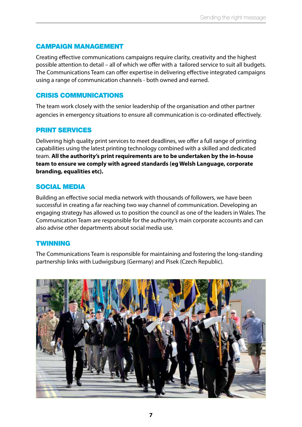#### CAMPAIGN MANAGEMENT

Creating effective communications campaigns require clarity, creativity and the highest possible attention to detail – all of which we offer with a tailored service to suit all budgets. The Communications Team can offer expertise in delivering effective integrated campaigns using a range of communication channels - both owned and earned.

#### CRISIS COMMUNICATIONS

The team work closely with the senior leadership of the organisation and other partner agencies in emergency situations to ensure all communication is co-ordinated effectively.

#### PRINT SERVICES

Delivering high quality print services to meet deadlines, we offer a full range of printing capabilities using the latest printing technology combined with a skilled and dedicated team. **All the authority's print requirements are to be undertaken by the in-house team to ensure we comply with agreed standards (eg Welsh Language, corporate branding, equalities etc).**

#### SOCIAL MEDIA

Building an effective social media network with thousands of followers, we have been successful in creating a far reaching two way channel of communication. Developing an engaging strategy has allowed us to position the council as one of the leaders in Wales. The Communication Team are responsible for the authority's main corporate accounts and can also advise other departments about social media use.

#### **TWINNING**

The Communications Team is responsible for maintaining and fostering the long-standing partnership links with Ludwigsburg (Germany) and Pisek (Czech Republic).

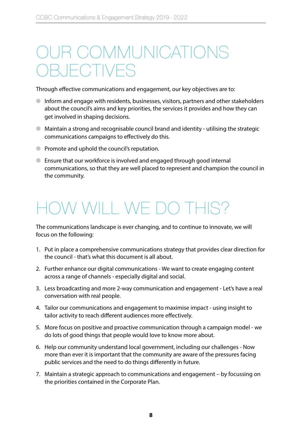### COMMUNICATIONS  $-$ (  $\sqrt{\frac{1}{2}}$   $\sqrt{\frac{1}{2}}$

Through effective communications and engagement, our key objectives are to:

- Inform and engage with residents, businesses, visitors, partners and other stakeholders about the council's aims and key priorities, the services it provides and how they can get involved in shaping decisions.
- Maintain a strong and recognisable council brand and identity utilising the strategic communications campaigns to effectively do this.
- Promote and uphold the council's reputation.
- Ensure that our workforce is involved and engaged through good internal communications, so that they are well placed to represent and champion the council in the community.

### V WILL WE DO THIS?

The communications landscape is ever changing, and to continue to innovate, we will focus on the following:

- 1. Put in place a comprehensive communications strategy that provides clear direction for the council - that's what this document is all about.
- 2. Further enhance our digital communications We want to create engaging content across a range of channels - especially digital and social.
- 3. Less broadcasting and more 2-way communication and engagement Let's have a real conversation with real people.
- 4. Tailor our communications and engagement to maximise impact using insight to tailor activity to reach different audiences more effectively.
- 5. More focus on positive and proactive communication through a campaign model we do lots of good things that people would love to know more about.
- 6. Help our community understand local government, including our challenges Now more than ever it is important that the community are aware of the pressures facing public services and the need to do things differently in future.
- 7. Maintain a strategic approach to communications and engagement by focussing on the priorities contained in the Corporate Plan.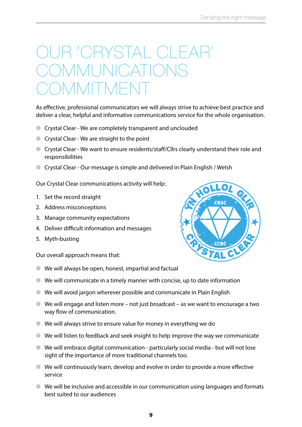### OUR 'CRYSTAL CLEAR' COMMUNICATIONS MITME

As effective, professional communicators we will always strive to achieve best practice and deliver a clear, helpful and informative communications service for the whole organisation.

- Crystal Clear We are completely transparent and unclouded
- Crystal Clear We are straight to the point
- Crystal Clear We want to ensure residents/staff/Cllrs clearly understand their role and responsibilities
- Crystal Clear Our message is simple and delivered in Plain English / Welsh

Our Crystal Clear communications activity will help:

- 1. Set the record straight
- 2. Address misconceptions
- 3. Manage community expectations
- 4. Deliver difficult information and messages
- 5. Myth-busting

Our overall approach means that:

- We will always be open, honest, impartial and factual
- $\bullet$  We will communicate in a timely manner with concise, up to date information
- We will avoid jargon wherever possible and communicate in Plain English
- We will engage and listen more not just broadcast as we want to encourage a two way flow of communication.
- We will always strive to ensure value for money in everything we do
- $\bullet$  We will listen to feedback and seek insight to help improve the way we communicate
- We will embrace digital communication particularly social media but will not lose sight of the importance of more traditional channels too.
- We will continuously learn, develop and evolve in order to provide a more effective service
- $\bullet$  We will be inclusive and accessible in our communication using languages and formats best suited to our audiences

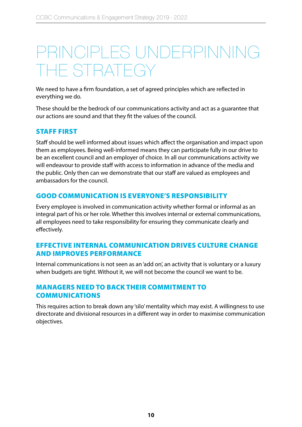### PRINCIPLES UNDERPINNING THE STRATEGY

We need to have a firm foundation, a set of agreed principles which are reflected in everything we do.

These should be the bedrock of our communications activity and act as a guarantee that our actions are sound and that they fit the values of the council.

#### STAFF FIRST

Staff should be well informed about issues which affect the organisation and impact upon them as employees. Being well-informed means they can participate fully in our drive to be an excellent council and an employer of choice. In all our communications activity we will endeavour to provide staff with access to information in advance of the media and the public. Only then can we demonstrate that our staff are valued as employees and ambassadors for the council.

#### GOOD COMMUNICATION IS EVERYONE'S RESPONSIBILITY

Every employee is involved in communication activity whether formal or informal as an integral part of his or her role. Whether this involves internal or external communications, all employees need to take responsibility for ensuring they communicate clearly and effectively.

#### EFFECTIVE INTERNAL COMMUNICATION DRIVES CULTURE CHANGE AND IMPROVES PERFORMANCE

Internal communications is not seen as an 'add on', an activity that is voluntary or a luxury when budgets are tight. Without it, we will not become the council we want to be.

#### MANAGERS NEED TO BACK THEIR COMMITMENT TO COMMUNICATIONS

This requires action to break down any 'silo' mentality which may exist. A willingness to use directorate and divisional resources in a different way in order to maximise communication objectives.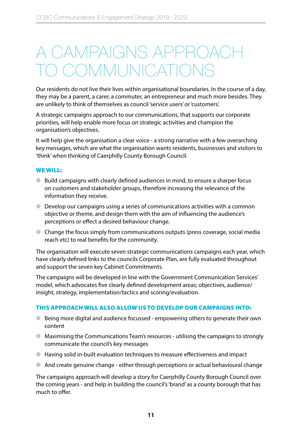### A CAMPAIGNS APPROACH COMMUNICATION

Our residents do not live their lives within organisational boundaries. In the course of a day, they may be a parent, a carer, a commuter, an entrepreneur and much more besides. They are unlikely to think of themselves as council 'service users' or 'customers'.

A strategic campaigns approach to our communications, that supports our corporate priorities, will help enable more focus on strategic activities and champion the organisation's objectives.

It will help give the organisation a clear voice - a strong narrative with a few overarching key messages, which are what the organisation wants residents, businesses and visitors to 'think' when thinking of Caerphilly County Borough Council.

#### WE WILL:

- Build campaigns with clearly defined audiences in mind, to ensure a sharper focus on customers and stakeholder groups, therefore increasing the relevance of the information they receive.
- $\bullet$  Develop our campaigns using a series of communications activities with a common objective or theme, and design them with the aim of influencing the audience's perceptions or effect a desired behaviour change.
- Change the focus simply from communications outputs (press coverage, social media reach etc) to real benefits for the community.

The organisation will execute seven strategic communications campaigns each year, which have clearly defined links to the councils Corporate Plan, are fully evaluated throughout and support the seven key Cabinet Commitments.

The campaigns will be developed in line with the Government Communication Services' model, which advocates five clearly defined development areas; objectives, audience/ insight, strategy, implementation/tactics and scoring/evaluation.

#### THIS APPROACH WILL ALSO ALLOW US TO DEVELOP OUR CAMPAIGNS INTO:

- Being more digital and audience focussed empowering others to generate their own content
- Maximising the Communications Team's resources utilising the campaigns to strongly communicate the council's key messages
- Having solid in-built evaluation techniques to measure effectiveness and impact
- And create genuine change either through perceptions or actual behavioural change

The campaigns approach will develop a story for Caerphilly County Borough Council over the coming years - and help in building the council's 'brand' as a county borough that has much to offer.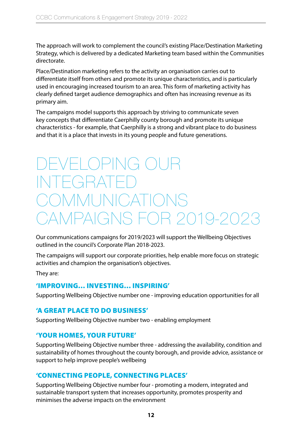The approach will work to complement the council's existing Place/Destination Marketing Strategy, which is delivered by a dedicated Marketing team based within the Communities directorate.

Place/Destination marketing refers to the activity an organisation carries out to differentiate itself from others and promote its unique characteristics, and is particularly used in encouraging increased tourism to an area. This form of marketing activity has clearly defined target audience demographics and often has increasing revenue as its primary aim.

The campaigns model supports this approach by striving to communicate seven key concepts that differentiate Caerphilly county borough and promote its unique characteristics - for example, that Caerphilly is a strong and vibrant place to do business and that it is a place that invests in its young people and future generations.

### $-$ | () $P$ |NG  $\setminus$ IF $(\exists$ RAT OMMUNICATIO CAMPAIGNS FOR 2019-2023

Our communications campaigns for 2019/2023 will support the Wellbeing Objectives outlined in the council's Corporate Plan 2018-2023.

The campaigns will support our corporate priorities, help enable more focus on strategic activities and champion the organisation's objectives.

They are:

### 'IMPROVING… INVESTING… INSPIRING'

Supporting Wellbeing Objective number one - improving education opportunities for all

### 'A GREAT PLACE TO DO BUSINESS'

Supporting Wellbeing Objective number two - enabling employment

#### 'YOUR HOMES, YOUR FUTURE'

Supporting Wellbeing Objective number three - addressing the availability, condition and sustainability of homes throughout the county borough, and provide advice, assistance or support to help improve people's wellbeing

### 'CONNECTING PEOPLE, CONNECTING PLACES'

Supporting Wellbeing Objective number four - promoting a modern, integrated and sustainable transport system that increases opportunity, promotes prosperity and minimises the adverse impacts on the environment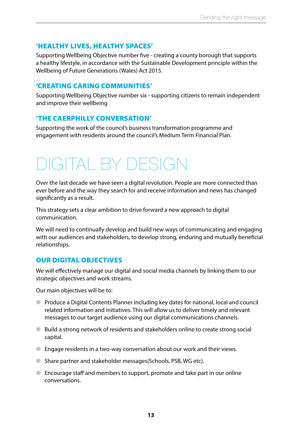#### 'HEALTHY LIVES, HEALTHY SPACES'

Supporting Wellbeing Objective number five - creating a county borough that supports a healthy lifestyle, in accordance with the Sustainable Development principle within the Wellbeing of Future Generations (Wales) Act 2015.

#### 'CREATING CARING COMMUNITIES'

Supporting Wellbeing Objective number six - supporting citizens to remain independent and improve their wellbeing

#### 'THE CAERPHILLY CONVERSATION'

Supporting the work of the council's business transformation programme and engagement with residents around the council's Medium Term Financial Plan.

### DIGITAL BY DESIGN

Over the last decade we have seen a digital revolution. People are more connected than ever before and the way they search for and receive information and news has changed significantly as a result.

This strategy sets a clear ambition to drive forward a new approach to digital communication.

We will need to continually develop and build new ways of communicating and engaging with our audiences and stakeholders, to develop strong, enduring and mutually beneficial relationships.

### OUR DIGITAL OBJECTIVES

We will effectively manage our digital and social media channels by linking them to our strategic objectives and work streams.

Our main objectives will be to:

- Produce a Digital Contents Planner including key dates for national, local and council related information and initiatives. This will allow us to deliver timely and relevant messages to our target audience using our digital communications channels.
- Build a strong network of residents and stakeholders online to create strong social capital.
- Engage residents in a two-way conversation about our work and their views.
- Share partner and stakeholder messages(Schools, PSB, WG etc).
- Encourage staff and members to support, promote and take part in our online conversations.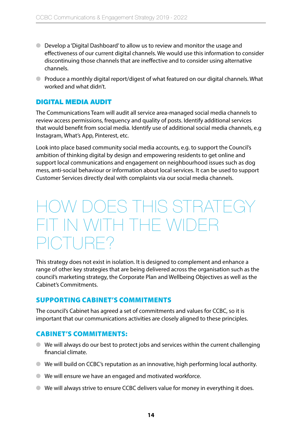- Develop a 'Digital Dashboard' to allow us to review and monitor the usage and effectiveness of our current digital channels. We would use this information to consider discontinuing those channels that are ineffective and to consider using alternative channels.
- Produce a monthly digital report/digest of what featured on our digital channels. What worked and what didn't.

#### DIGITAL MEDIA AUDIT

The Communications Team will audit all service area-managed social media channels to review access permissions, frequency and quality of posts. Identify additional services that would benefit from social media. Identify use of additional social media channels, e.g Instagram, What's App, Pinterest, etc.

Look into place based community social media accounts, e.g. to support the Council's ambition of thinking digital by design and empowering residents to get online and support local communications and engagement on neighbourhood issues such as dog mess, anti-social behaviour or information about local services. It can be used to support Customer Services directly deal with complaints via our social media channels.

### HOW DOES THIS STRATEGY FIT IN WITH THE WIDER PICTURE?

This strategy does not exist in isolation. It is designed to complement and enhance a range of other key strategies that are being delivered across the organisation such as the council's marketing strategy, the Corporate Plan and Wellbeing Objectives as well as the Cabinet's Commitments.

#### SUPPORTING CABINET'S COMMITMENTS

The council's Cabinet has agreed a set of commitments and values for CCBC, so it is important that our communications activities are closely aligned to these principles.

#### CABINET'S COMMITMENTS:

- We will always do our best to protect jobs and services within the current challenging financial climate.
- We will build on CCBC's reputation as an innovative, high performing local authority.
- We will ensure we have an engaged and motivated workforce.
- We will always strive to ensure CCBC delivers value for money in everything it does.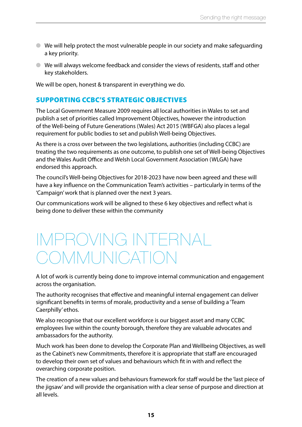- We will help protect the most vulnerable people in our society and make safeguarding a key priority.
- We will always welcome feedback and consider the views of residents, staff and other key stakeholders.

We will be open, honest & transparent in everything we do.

#### SUPPORTING CCBC'S STRATEGIC OBJECTIVES

The Local Government Measure 2009 requires all local authorities in Wales to set and publish a set of priorities called Improvement Objectives, however the introduction of the Well-being of Future Generations (Wales) Act 2015 (WBFGA) also places a legal requirement for public bodies to set and publish Well-being Objectives.

As there is a cross over between the two legislations, authorities (including CCBC) are treating the two requirements as one outcome, to publish one set of Well-being Objectives and the Wales Audit Office and Welsh Local Government Association (WLGA) have endorsed this approach.

The council's Well-being Objectives for 2018-2023 have now been agreed and these will have a key influence on the Communication Team's activities – particularly in terms of the 'Campaign' work that is planned over the next 3 years.

Our communications work will be aligned to these 6 key objectives and reflect what is being done to deliver these within the community

### IMPROVING INTERNAL COMMUNICATIC

A lot of work is currently being done to improve internal communication and engagement across the organisation.

The authority recognises that effective and meaningful internal engagement can deliver significant benefits in terms of morale, productivity and a sense of building a 'Team Caerphilly' ethos.

We also recognise that our excellent workforce is our biggest asset and many CCBC employees live within the county borough, therefore they are valuable advocates and ambassadors for the authority.

Much work has been done to develop the Corporate Plan and Wellbeing Objectives, as well as the Cabinet's new Commitments, therefore it is appropriate that staff are encouraged to develop their own set of values and behaviours which fit in with and reflect the overarching corporate position.

The creation of a new values and behaviours framework for staff would be the 'last piece of the jigsaw' and will provide the organisation with a clear sense of purpose and direction at all levels.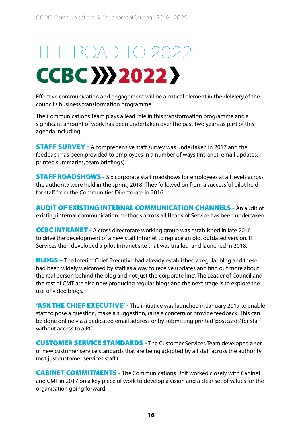# THE ROAD TO 2022 CCBC >>> 2022 >

Effective communication and engagement will be a critical element in the delivery of the council's business transformation programme.

The Communications Team plays a lead role in this transformation programme and a significant amount of work has been undertaken over the past two years as part of this agenda including:

STAFF SURVEY - A comprehensive staff survey was undertaken in 2017 and the feedback has been provided to employees in a number of ways (Intranet, email updates, printed summaries, team briefings).

**STAFF ROADSHOWS** - Six corporate staff roadshows for employees at all levels across the authority were held in the spring 2018. They followed on from a successful pilot held for staff from the Communities Directorate in 2016.

AUDIT OF EXISTING INTERNAL COMMUNICATION CHANNELS - An audit of existing internal communication methods across all Heads of Service has been undertaken.

CCBC INTRANET - A cross directorate working group was established in late 2016 to drive the development of a new staff Intranet to replace an old, outdated version. IT Services then developed a pilot Intranet site that was trialled and launched in 2018.

**BLOGS** – The Interim Chief Executive had already established a regular blog and these had been widely welcomed by staff as a way to receive updates and find out more about the real person behind the blog and not just the 'corporate line'. The Leader of Council and the rest of CMT are also now producing regular blogs and the next stage is to explore the use of video blogs.

'ASK THE CHIEF EXECUTIVE' - The initiative was launched in January 2017 to enable staff to pose a question, make a suggestion, raise a concern or provide feedback. This can be done online via a dedicated email address or by submitting printed 'postcards' for staff without access to a PC.

CUSTOMER SERVICE STANDARDS - The Customer Services Team developed a set of new customer service standards that are being adopted by all staff across the authority (not just customer services staff).

CABINET COMMITMENTS - The Communications Unit worked closely with Cabinet and CMT in 2017 on a key piece of work to develop a vision and a clear set of values for the organisation going forward.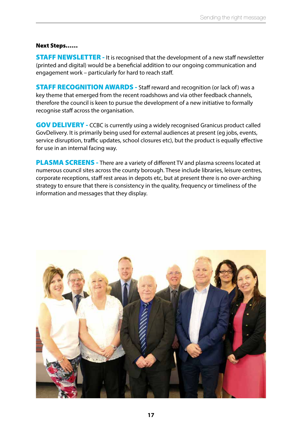#### Next Steps……

**STAFF NEWSLETTER - It is recognised that the development of a new staff newsletter** (printed and digital) would be a beneficial addition to our ongoing communication and engagement work – particularly for hard to reach staff.

**STAFF RECOGNITION AWARDS** - Staff reward and recognition (or lack of) was a key theme that emerged from the recent roadshows and via other feedback channels, therefore the council is keen to pursue the development of a new initiative to formally recognise staff across the organisation.

GOV DELIVERY - CCBC is currently using a widely recognised Granicus product called GovDelivery. It is primarily being used for external audiences at present (eg jobs, events, service disruption, traffic updates, school closures etc), but the product is equally effective for use in an internal facing way.

**PLASMA SCREENS** - There are a variety of different TV and plasma screens located at numerous council sites across the county borough. These include libraries, leisure centres, corporate receptions, staff rest areas in depots etc, but at present there is no over-arching strategy to ensure that there is consistency in the quality, frequency or timeliness of the information and messages that they display.